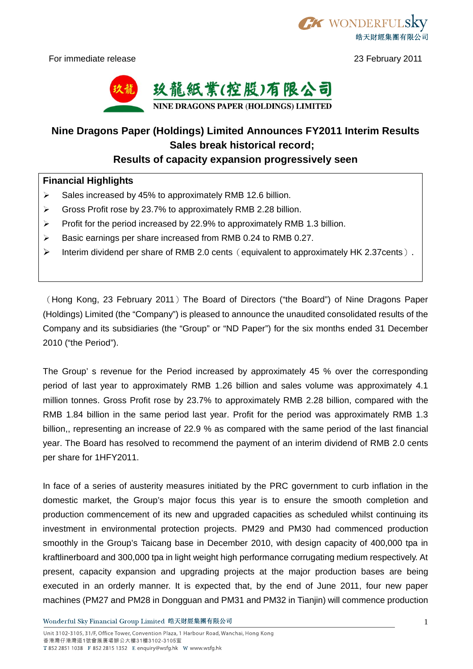**TX WONDERFULSK** 皓天財經集團有限公司

For immediate release 23 February 2011



## **Nine Dragons Paper (Holdings) Limited Announces FY2011 Interim Results Sales break historical record;**

## **Results of capacity expansion progressively seen**

## **Financial Highlights**

- Sales increased by 45% to approximately RMB 12.6 billion.<br>
So Gross Profit rose by 23.7% to approximately RMB 2.28 billion
- Gross Profit rose by 23.7% to approximately RMB 2.28 billion.<br>
See Profit for the period increased by 22.9% to approximately RMB
- Profit for the period increased by 22.9% to approximately RMB 1.3 billion.<br>
Secreasing a set share increased from RMB 0.24 to RMB 0.27.
- Basic earnings per share increased from RMB 0.24 to RMB 0.27.<br>
Interim dividend per share of RMB 2.0 cents (equivalent to approximately
- Interim dividend per share of RMB 2.0 cents (equivalent to approximately HK 2.37cents).

(Hong Kong, 23 February 2011) The Board of Directors ("the Board") of Nine Dragons Paper (Holdings) Limited (the "Company") is pleased to announce the unaudited consolidated results of the Company and its subsidiaries (the "Group" or "ND Paper") for the six months ended 31 December 2010 ("the Period").

The Group' s revenue for the Period increased by approximately 45 % over the corresponding period of last year to approximately RMB 1.26 billion and sales volume was approximately 4.1 million tonnes. Gross Profit rose by 23.7% to approximately RMB 2.28 billion, compared with the RMB 1.84 billion in the same period last year. Profit for the period was approximately RMB 1.3 billion,, representing an increase of 22.9 % as compared with the same period of the last financial year. The Board has resolved to recommend the payment of an interim dividend of RMB 2.0 cents per share for 1HFY2011.

In face of a series of austerity measures initiated by the PRC government to curb inflation in the domestic market, the Group's major focus this year is to ensure the smooth completion and production commencement of its new and upgraded capacities as scheduled whilst continuing its investment in environmental protection projects. PM29 and PM30 had commenced production smoothly in the Group's Taicang base in December 2010, with design capacity of 400,000 tpa in kraftlinerboard and 300,000 tpa in light weight high performance corrugating medium respectively. At present, capacity expansion and upgrading projects at the major production bases are being executed in an orderly manner. It is expected that, by the end of June 2011, four new paper machines (PM27 and PM28 in Dongguan and PM31 and PM32 in Tianjin) will commence production

Wonderful Sky Financial Group Limited 皓天財經集團有限公司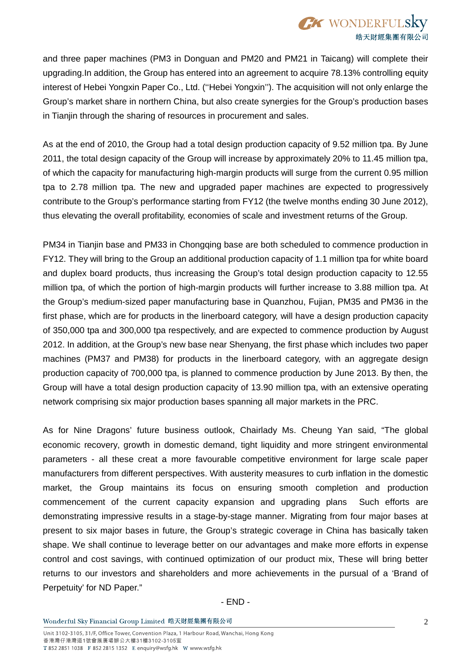

and three paper machines (PM3 in Donguan and PM20 and PM21 in Taicang) will complete their upgrading.In addition, the Group has entered into an agreement to acquire 78.13% controlling equity interest of Hebei Yongxin Paper Co., Ltd. (''Hebei Yongxin''). The acquisition will not only enlarge the Group's market share in northern China, but also create synergies for the Group's production bases in Tianjin through the sharing of resources in procurement and sales.

As at the end of 2010, the Group had a total design production capacity of 9.52 million tpa. By June 2011, the total design capacity of the Group will increase by approximately 20% to 11.45 million tpa, of which the capacity for manufacturing high-margin products will surge from the current 0.95 million tpa to 2.78 million tpa. The new and upgraded paper machines are expected to progressively contribute to the Group's performance starting from FY12 (the twelve months ending 30 June 2012), thus elevating the overall profitability, economies of scale and investment returns of the Group.

PM34 in Tianjin base and PM33 in Chongqing base are both scheduled to commence production in FY12. They will bring to the Group an additional production capacity of 1.1 million tpa for white board and duplex board products, thus increasing the Group's total design production capacity to 12.55 million tpa, of which the portion of high-margin products will further increase to 3.88 million tpa. At the Group's medium-sized paper manufacturing base in Quanzhou, Fujian, PM35 and PM36 in the first phase, which are for products in the linerboard category, will have a design production capacity of 350,000 tpa and 300,000 tpa respectively, and are expected to commence production by August 2012. In addition, at the Group's new base near Shenyang, the first phase which includes two paper machines (PM37 and PM38) for products in the linerboard category, with an aggregate design production capacity of 700,000 tpa, is planned to commence production by June 2013. By then, the Group will have a total design production capacity of 13.90 million tpa, with an extensive operating network comprising six major production bases spanning all major markets in the PRC.

As for Nine Dragons' future business outlook, Chairlady Ms. Cheung Yan said, "The global economic recovery, growth in domestic demand, tight liquidity and more stringent environmental parameters - all these creat a more favourable competitive environment for large scale paper manufacturers from different perspectives. With austerity measures to curb inflation in the domestic market, the Group maintains its focus on ensuring smooth completion and production commencement of the current capacity expansion and upgrading plans Such efforts are demonstrating impressive results in a stage-by-stage manner. Migrating from four major bases at present to six major bases in future, the Group's strategic coverage in China has basically taken shape. We shall continue to leverage better on our advantages and make more efforts in expense control and cost savings, with continued optimization of our product mix, These will bring better returns to our investors and shareholders and more achievements in the pursual of a 'Brand of Perpetuity' for ND Paper."